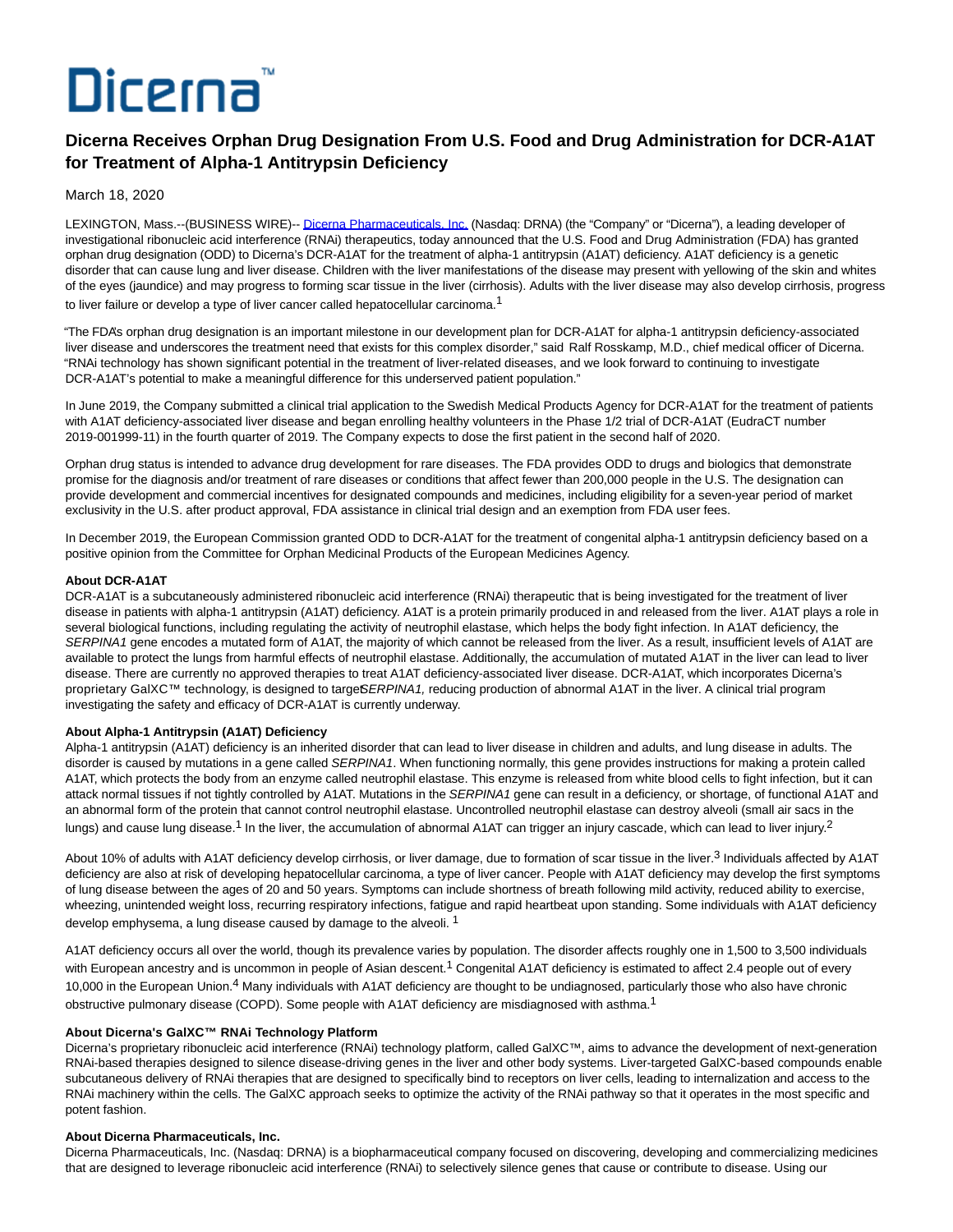# Dicerna

# **Dicerna Receives Orphan Drug Designation From U.S. Food and Drug Administration for DCR-A1AT for Treatment of Alpha-1 Antitrypsin Deficiency**

March 18, 2020

LEXINGTON, Mass.--(BUSINESS WIRE)-- [Dicerna Pharmaceuticals, Inc. \(](https://cts.businesswire.com/ct/CT?id=smartlink&url=http%3A%2F%2Fdicerna.com%2F&esheet=52191331&newsitemid=20200318005712&lan=en-US&anchor=Dicerna+Pharmaceuticals%2C+Inc.&index=1&md5=0bb7aca530767f8a664076e0ff856413)Nasdaq: DRNA) (the "Company" or "Dicerna"), a leading developer of investigational ribonucleic acid interference (RNAi) therapeutics, today announced that the U.S. Food and Drug Administration (FDA) has granted orphan drug designation (ODD) to Dicerna's DCR-A1AT for the treatment of alpha-1 antitrypsin (A1AT) deficiency. A1AT deficiency is a genetic disorder that can cause lung and liver disease. Children with the liver manifestations of the disease may present with yellowing of the skin and whites of the eyes (jaundice) and may progress to forming scar tissue in the liver (cirrhosis). Adults with the liver disease may also develop cirrhosis, progress to liver failure or develop a type of liver cancer called hepatocellular carcinoma.<sup>1</sup>

"The FDA's orphan drug designation is an important milestone in our development plan for DCR-A1AT for alpha-1 antitrypsin deficiency-associated liver disease and underscores the treatment need that exists for this complex disorder," said Ralf Rosskamp, M.D., chief medical officer of Dicerna. "RNAi technology has shown significant potential in the treatment of liver-related diseases, and we look forward to continuing to investigate DCR-A1AT's potential to make a meaningful difference for this underserved patient population."

In June 2019, the Company submitted a clinical trial application to the Swedish Medical Products Agency for DCR-A1AT for the treatment of patients with A1AT deficiency-associated liver disease and began enrolling healthy volunteers in the Phase 1/2 trial of DCR-A1AT (EudraCT number 2019-001999-11) in the fourth quarter of 2019. The Company expects to dose the first patient in the second half of 2020.

Orphan drug status is intended to advance drug development for rare diseases. The FDA provides ODD to drugs and biologics that demonstrate promise for the diagnosis and/or treatment of rare diseases or conditions that affect fewer than 200,000 people in the U.S. The designation can provide development and commercial incentives for designated compounds and medicines, including eligibility for a seven-year period of market exclusivity in the U.S. after product approval, FDA assistance in clinical trial design and an exemption from FDA user fees.

In December 2019, the European Commission granted ODD to DCR-A1AT for the treatment of congenital alpha-1 antitrypsin deficiency based on a positive opinion from the Committee for Orphan Medicinal Products of the European Medicines Agency.

# **About DCR-A1AT**

DCR-A1AT is a subcutaneously administered ribonucleic acid interference (RNAi) therapeutic that is being investigated for the treatment of liver disease in patients with alpha-1 antitrypsin (A1AT) deficiency. A1AT is a protein primarily produced in and released from the liver. A1AT plays a role in several biological functions, including regulating the activity of neutrophil elastase, which helps the body fight infection. In A1AT deficiency, the SERPINA1 gene encodes a mutated form of A1AT, the majority of which cannot be released from the liver. As a result, insufficient levels of A1AT are available to protect the lungs from harmful effects of neutrophil elastase. Additionally, the accumulation of mutated A1AT in the liver can lead to liver disease. There are currently no approved therapies to treat A1AT deficiency-associated liver disease. DCR-A1AT, which incorporates Dicerna's proprietary GalXC™ technology, is designed to targe SERPINA1, reducing production of abnormal A1AT in the liver. A clinical trial program investigating the safety and efficacy of DCR-A1AT is currently underway.

## **About Alpha-1 Antitrypsin (A1AT) Deficiency**

Alpha-1 antitrypsin (A1AT) deficiency is an inherited disorder that can lead to liver disease in children and adults, and lung disease in adults. The disorder is caused by mutations in a gene called SERPINA1. When functioning normally, this gene provides instructions for making a protein called A1AT, which protects the body from an enzyme called neutrophil elastase. This enzyme is released from white blood cells to fight infection, but it can attack normal tissues if not tightly controlled by A1AT. Mutations in the SERPINA1 gene can result in a deficiency, or shortage, of functional A1AT and an abnormal form of the protein that cannot control neutrophil elastase. Uncontrolled neutrophil elastase can destroy alveoli (small air sacs in the lungs) and cause lung disease.<sup>1</sup> In the liver, the accumulation of abnormal A1AT can trigger an injury cascade, which can lead to liver injury.<sup>2</sup>

About 10% of adults with A1AT deficiency develop cirrhosis, or liver damage, due to formation of scar tissue in the liver.<sup>3</sup> Individuals affected by A1AT deficiency are also at risk of developing hepatocellular carcinoma, a type of liver cancer. People with A1AT deficiency may develop the first symptoms of lung disease between the ages of 20 and 50 years. Symptoms can include shortness of breath following mild activity, reduced ability to exercise, wheezing, unintended weight loss, recurring respiratory infections, fatigue and rapid heartbeat upon standing. Some individuals with A1AT deficiency develop emphysema, a lung disease caused by damage to the alveoli.<sup>1</sup>

A1AT deficiency occurs all over the world, though its prevalence varies by population. The disorder affects roughly one in 1,500 to 3,500 individuals with European ancestry and is uncommon in people of Asian descent.<sup>1</sup> Congenital A1AT deficiency is estimated to affect 2.4 people out of every 10,000 in the European Union.<sup>4</sup> Many individuals with A1AT deficiency are thought to be undiagnosed, particularly those who also have chronic obstructive pulmonary disease (COPD). Some people with A1AT deficiency are misdiagnosed with asthma.<sup>1</sup>

# **About Dicerna's GalXC™ RNAi Technology Platform**

Dicerna's proprietary ribonucleic acid interference (RNAi) technology platform, called GalXC™, aims to advance the development of next-generation RNAi-based therapies designed to silence disease-driving genes in the liver and other body systems. Liver-targeted GalXC-based compounds enable subcutaneous delivery of RNAi therapies that are designed to specifically bind to receptors on liver cells, leading to internalization and access to the RNAi machinery within the cells. The GalXC approach seeks to optimize the activity of the RNAi pathway so that it operates in the most specific and potent fashion.

## **About Dicerna Pharmaceuticals, Inc.**

Dicerna Pharmaceuticals, Inc. (Nasdaq: DRNA) is a biopharmaceutical company focused on discovering, developing and commercializing medicines that are designed to leverage ribonucleic acid interference (RNAi) to selectively silence genes that cause or contribute to disease. Using our